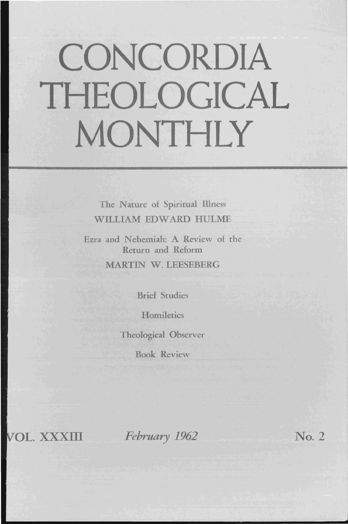# **CONCORDIA THEOLOGICAL MONTHLY**

The Nature of Spiritual Illness WILLIAM EDWARD HULME

Ezra and Nehemiah: A Review of the Return and Reform

MARTIN W. LEESEBERG

Brief Studies

**Homiletics** 

Theological Observer

Book Review

**OL.** XXXIII *February 1962* No. 2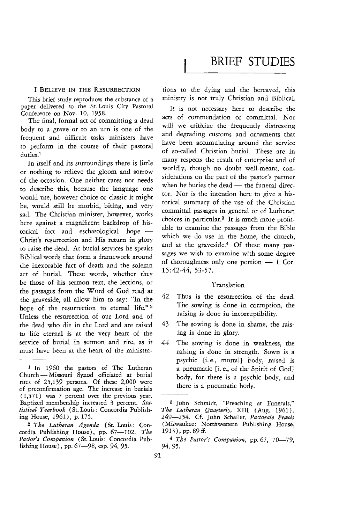## BRIEF **STUDIES**

#### I BELIEVE IN THE RESURRECTION

This brief study reproduces the substance of a paper delivered to the St. Louis City Pastoral Conference on Nov. 10, 1958.

The final, formal act of committing a dead body to a grave or to an urn is one of the frequent and difficult tasks ministers have to perform in the course of their pastoral duties.<sup>1</sup>

In itself and its surroundings there is little or nothing to relieve the gloom and sorrow of the occasion. One neither cares nor needs to describe this, because the language one would use, however choice or classic it might be, would still be morbid, biting, and very sad. The Christian minister, however, works here against a magnificent backdrop of historical fact and eschatological hope -Christ's resurrection and His return in glory to raise the dead. At burial services he speaks Biblical words that form a framework around the inexorable fact of death and the solemn act of burial. These words, whether they be those of his sermon text, the lections, or the passages from the Word of God read at the graveside, all allow him to say: "In the hope of the resurrection to eternal life." 2 Unless the resurrection of our Lord and of the dead who die in the Lord and are raised to life eternal is at the very heart of the service of burial in sermon and rite, as it must have been at the heart of the ministrations to the dying and the bereaved, this ministry is not truly Christian and Biblical.

It is not necessary here to describe the acts of commendation or committal. Nor will we criticize the frequently distressing and degrading customs and ornaments that have been accumulating around the service of so-called Christian burial. These are in many respects the result of enterprise and of worldly, though no doubt well-meant, considerations on the part of the pastor's partner when he buries the dead - the funeral director. Nor is the intention here to give a historical summary of the use of the Christian committal passages in general or of Lutheran choices in particular.3 It is much more profitable to examine the passages from the Bible which we do use in the home, the church, and at the graveside.<sup>4</sup> Of these many passages we wish to examine with some degree of thoroughness only one portion  $-1$  Cor. 15:42-44, 53-57.

#### Translation

- 42 Thus is the resurrection of the dead. The sowing is done in corruption, the raising is done in incorruptibility.
- 43 The sowing is done in shame, the raising *is* done in glory.
- 44 The sowing is done in weakness, the raising is done in strength. Sown is a psychic [i. e., mortal} body, raised is a pneumatic [1. e., of the Spirit of God} body, for there is a psychic body, and there *is* a pneumatic body.

<sup>1</sup> In *1960* the pastors of The Lutheran Church - Missouri Synod officiated at burial rites of 25,139 persons. Of these 2,000 were of preconfirmation age. The increase in burials (1,571) was 7 percent over the previous year. Baptized membership increased 3 percent. *Statistical Yearbook* (St. Louis: Concordia Publishing House, 1961), p.175.

<sup>2</sup> *The Lutheran Agenda* (St. Louis: Concordia Publishing House), pp. 67-102. The *Pastor's Companion* (St.Louis: Concordia Publishing House), pp. 67-98, esp. 94, 95.

<sup>3</sup> John Schmidt, "Preaching at Funerals," *The Lutheran Quarterly,* XIII (Aug. 1961), 249-254. Cf. John Schaller, *Pastorale Praxis*  (Milwaukee: Northwestern Publishing House, 1913), pp. 89 ff.

<sup>&</sup>lt;sup>4</sup> The Pastor's Companion, pp. 67, 70-79, 94,95.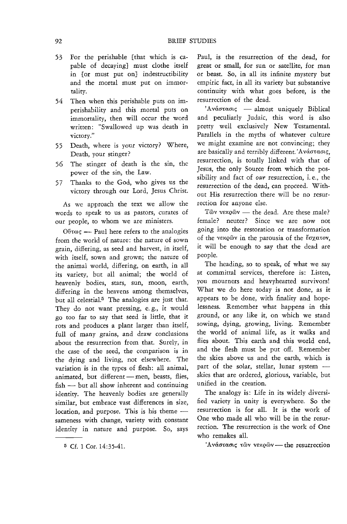- 53 For the perishable [that which is capable of decaying] must clothe itself in [or must put on] indestructibility and the mortal must put on immortality.
- 54 Then when this perishable puts on imperishability and this mortal puts on immortality, then will occur the word written: "Swallowed up was death in victory."
- 55 Death, where is your victory? Where, Death, your stinger?
- 56 The stinger of death is the sin, the power of the sin, the Law.
- 57 Thanks to the God, who gives us the victory through our Lord, Jesus Christ.

As we approach the text we allow the words to speak to us as pastors, curates of our people, to whom we are ministers.

 $O$   $\theta$   $\infty$   $\infty$  Paul here refers to the analogies from the world of nature: the nature of sown grain, differing, as seed and harvest, in itself, with itself, sown and grown; the nature of the animal world, differing, on earth, in all its variety, but all animal; the world of heavenly bodies, stars, sun, moon, earth, differing in the heavens among themselves, but all celestial.5 The analogies are just that. They do not want pressing, e. g., it would go too far to say that seed is little, that it rots and produces a plant larger than itself, full of many grains, and draw conclusions about the resurrection from that. Surely, in the case of the seed, the comparison *is* in the dying and living, not elsewhere. The variation is in the types of flesh: all animal, animated, but different - men, beasts, flies, fish - but all show inherent and continuing identity. The heavenly bodies are generally similar, but embrace vast differences in size, location, and purpose. This is his theme sameness with change, variety with constant identity in nature and purpose. So, says

Paul, is the resurrection of the dead, for great or small, for sun or satellite, for man or beast. So, in all its infinite mystery but empiric fact, in all its variety but substantive continuity with what goes before, is the resurrection of the dead.

'Aνάστασις - almost uniquely Biblical and peculiarly Judaic, this word is also pretty well exclusively New Testamental. Parallels in the myths of whatever culture we might examine are not convincing; they are basically and terribly different. 'Aνάστασις, resurrection, is totally linked with that of Jesus, the only Source from which the possibility and fact of  $our$  resurrection, i. e., the resurrection of the dead, can proceed. Without His resurrection there will be no resurrection fot anyone else.

T $\tilde{\omega}$ v v $\tilde{\omega}$ v — the dead. Are these male? female? neuter? Since we are now not going into the restoration or transformation of the vexow in the parousia of the  $\zeta$   $\sigma$ it will be enough to say that the dead are people.

The heading, so to speak, of what we say at committal services, therefore is: Listen, you mourners and heavyhearted survivors! What we do here today is not done, as it appears to be done, with finality and hopelessness. Remember what happens in this ground, or any like it, on which we stand sowing, dying, growing, living. Remember the world of animal life, as it walks and flies about. This earth and this world end, and the flesh must be put off. Remember the skies above us and the earth, which is part of the solar, stellar, lunar system  $$ skies that are ordered, glorious, variable, but unified in the creation.

The analogy is: Life in its widely diversified variety in unity is everywhere. So the resurrection is for all. It is the work of One who made all who will be in the resurrection. The resurrection is the work of One who remakes all.

'Ανάστασις των νεκρών - the resurrection

<sup>5</sup> Cf. 1 Cor. 14:35·41.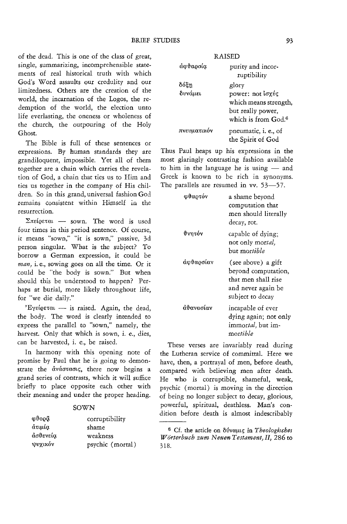of the dead. This is one of the class of great, single, summarizing, incomprehensible statements of real historical truth with which God's Word assaults our credulity and our limitedness. Others are the creation of the world, the incarnation of the Logos, the redemption of the world, the election unto life everlasting, the oneness or wholeness of the church, the outpouring of the Holy Ghost.

The Bible is full of these sentences or expressions. By human standards they are grandiloquent, impossible. Yet all of them together are a chain which carries the revelation of God, a chain that ties us to Him and ties us together in the company of His children. So in this grand, universal fashion God remains consistent within Himself in the resurrection.

 $\Sigma$ πείρεται - sown. The word is used four times in this period sentence. Of course, it means "sown," "it is sown," passive, 3d person singular. What *is* the subject? To borrow a German expression, it could be *man,* i. e., sowing goes on all the *time.* Or it could be "the body is sown." But when should this be understood to happen? Perhaps at burial, more likely throughout life, for "we die daily."

'E $\gamma$ eί $\varrho$ εται - is raised. Again, the dead, the body. The word is clearly intended to express the parallel to "sown," namely, the harvest. Only that which is sown, *i.* e., dies, can be harvested, i. e., be raised.

In harmony with this opening note of promise by Paul that he is going to demonstrate the dváotaons, there now begins a grand series of contrasts, which it will suffice briefly to place opposite each other with their meaning and under the proper heading.

### SOWN

| φθορά    | corruptibility   |
|----------|------------------|
| άτιμία   | shame            |
| άσθενεία | weakness         |
| ψυχικόν  | psychic (mortal) |

| . |             |                                 |
|---|-------------|---------------------------------|
|   | άσθαρσία    | purity and incor-               |
|   |             | ruptibility                     |
|   | δόξη        | glory                           |
|   | δυνάμει     | power: not loxύς                |
|   |             | which means strength,           |
|   |             | but really power.               |
|   |             | which is from God. <sup>6</sup> |
|   | πνευματικόν | pneumatic, i. e., of            |
|   |             | the Spirit of God               |

**DAISED** 

Thus Paul heaps up his expressions in the most glaringly contrasting fashion available to him in the language he is using  $-$  and Greek is known to be rich in synonyms. The parallels are resumed in vv. 53-57.

| ωθαρτόν    | a shame bevond<br>computation that<br>men should literally<br>decay, rot.                                  |
|------------|------------------------------------------------------------------------------------------------------------|
| θνητόν     | capable of dying:<br>not only mortal,<br>but mor <i>tible</i>                                              |
| άφθαρσίαν  | (see above) a gift<br>beyond computation,<br>that men shall rise<br>and never again be<br>subiect to decav |
| νηλορνοτήρ | incapable of ever<br>dying again; not only<br>immortal, but im-<br>mortible                                |

These verses are invariably read during the Lutheran service of committaL Here we have, then, a portrayal of men, before death, compared with believing men after death. He who is corruptible, shameful, weak, psychic (mortal) is moving in the direction of being no longer subject to decay, glorious, powerful, spiritual, deathless. Man's condition before death is almost indescribably

<sup>&</sup>lt;sup>6</sup> Cf. the article on δύναμις in *Theologisches W* örterbuch zum Neuen Testament, II, 286 to 318.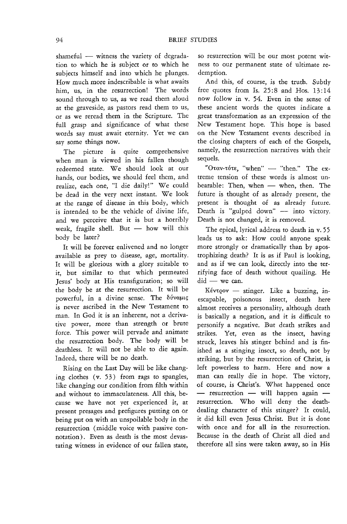shameful  $-$  witness the variety of degradation to which he is subject or to which he subjects himself and into which he plunges. How much more indescribable is what awaits him, us, in the resurrection! The words sound through to us, as we read them aloud at the graveside, as pastors read them to us, or as we reread them in the Scripture. The full grasp and significance of what these words say must await eternity. Yet we can say some things now.

The picture is quite comprehensive when man is viewed in his fallen though redeemed state. We should look at our hands, our bodies, we should feel them, and realize, each one, "I die daily!" We could be dead in the very next instant. We look at the range of disease in this body, which is intended to be the vehicle of divine life, and we perceive that it is but a horribly weak, fragile shell. But - how will this body be later?

It will be forever enlivened and no longer available as prey to disease, age, mortality. It will be glorious with a glory suitable to it, but similar to that which permeated Jesus' body at His transfiguration; so will the body be at the resurrection. It will be powerful, in a divine sense. The  $\delta \dot{\nu}$ va $\mu$ is never ascribed in the New Testament to man. In God it is an inherent, not a derivative power, more than strength or brute force. This power will pervade and animate the resurrection body. The body will be deathless. It will not be able to die again. Indeed, there will be no death.

Rising on the Last Day will be like changing clothes (v. 53) from rags to spangles, like changing our condition from filth within and without to immaculateness. All this, because we have not yet experienced it, at present presages and prefigures putting on or being put on with an unspoilable body in the resurrection (middle voice with passive connotation). Even as death is the most devastating witness in evidence of our fallen state,

so resurrection will be our most potent witness to our permanent state of ultimate redemption.

And this, of course, is the truth. Subtly free quotes from Is.  $25:8$  and Hos.  $13:14$ now follow in v. 54. Even in the sense of these ancient words the quotes indicate a great transformation as an expression of the New Testament hope. This hope is based on the New Testament events described in the closing chapters of each of the Gospels, namely, the resurrection narratives with their sequels.

" $O \tau \alpha v$ - $\tau \delta \tau \epsilon$ , "when" - "then." The extreme tension of these words is almost unbearable: Then, when - when, then. The future is thought of as already present, the present is thought of as already future. Death is "gulped down"  $-$  into victory. Death is not changed, it is removed.

The epical, lyrical address to death in v. 55 leads us to ask: How could anyone speak more strongly or dramatically than by apostrophizing death? It is as if Paul is looking, and as if we can look, directly into the terrifying face of death without quailing. He  $did - we can.$ 

 $Kév\tau\varrho o\nu$  - stinger. Like a buzzing, inescapable, poisonous insect, death here almost receives a personality, although death is basically a negation, and it is difficult to personify a negative. But death strikes and strikes. Yet, even as the insect, having struck, leaves his stinger behind and is finished as a stinging insect, so death, not by striking, but by the resurrection of Christ, is left powerless to harm. Here and now a man can really die in hope. The victory, of course, is Christ's. What happened once  $-$  resurrection  $-$  will happen again  $$ resurrection. Who will deny the deathdealing character of this stinger? It could, it did kill even Jesus Christ. But it is done with once and for all in the resurrection. Because in the death of Christ all died and therefore all sins were taken away, so in His